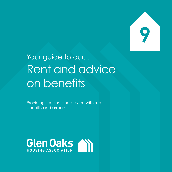**9**

## Your guide to our. . . Rent and advice on benefits

Providing support and advice with rent, benefits and arrears

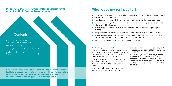**This document provides you with information on your rent, how to pay and what to do if you need financial support.**

**Glen Oaks Housing Association is committed to providing services that help to ensure you sustain your tenancy with us. We understand that sometimes our tenants can experience financial difficulties, however, we will provide support to you when you need it.**



We will consult you every year on any proposed changes to rent or service

#### **Rent setting and consultation**

Rents are set in accordance with our rent setting policy. The policy outlines that rents are based on the property size and type, and the cost of services provided by us.

Rents are reviewed once a year and we take into account our costs and consider what you and our other tenants can afford.

- **A** Maintaining your property by providing a reactive day-to-day repairs service.
- Updating your property as part of our planned maintenance program such as new kitchens and bathrooms.
- **A** Maintaining the local area with estate services such as landscaping and grass cutting.
- The provision of a Welfare Rights Service to offer financial advice and assistance.
- The provision of a staff team who manage the business, such as housing services, repairs and maintenance and finance / corporate services.
- Administrative costs associated with running the Association.

charges and endeavor to keep any rent increases as low as possible by taking your feedback into account.

We will give you at least 28 days' notice in writing of the increase to rent or service charges. You will also receive a yearly statement of your rent account (to let you see the payments you have made in the previous year).

### **What does my rent pay for?**

The rent you pay is our main source of income and pays for all of the important services we provide you with such as: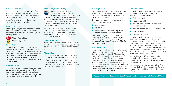#### **How can I pay my rent?**

Your rent payments are due every four weeks in advance and we will provide you with a calendar to tell you about the payment days for the year ahead.

We will provide you with a rent payment card which contains your unique rent reference number. This will enable you to make payments;



We offer a wide variety of payment methods for your convenience.

#### **Payment Outlets**

At any Post Office

**PP** 

At any Pay Point

#### **Direct Debit**

If you have a bank account we would encourage you to set up a Direct Debit. It allows your bank to pay rent automatically to us on a date set by you. It also enables us to automatically adjust the payment amount, giving you written notice in advance, this is particularly handy at rent increase time.

We can provide you access to our online Tenant Portal, where you can check you information on your rent account including your balance and list of your previous payments.

#### **Standing Order**

If you have a bank account you can also set up a standing order which will allow you to pay a set amount on a date or frequency set by you. This must cover your rent amount and any arrears owed.

#### **Internet payments - Allpay**



This service is available 24 hours a day, 7 days a week. You will need to quote the reference on your rent

- **A** Your income
- Your rent
- **■** The number of people living in your home and their circumstances

payment card and have the details of your credit or debit card. You will be given an authorization code as your record of payment. Simply log on to https://www. allpayments.net

#### **Over the phone**

If you wish to make a card payment over the phone, during office hours, you should call us on 0141 638 0999 and press option 2.

- **Child tax credits**
- Housing benefit
- Income related employment and support allowance
- Income based job seeker's allowance
- **Income support**
- Working tax credit

#### **At our office**

Using a switch, debit or credit card you can make a rent payment at our office.

Unfortunately we are unable to accept cash payments, but can accept postal orders or cheque, made payable to Glen Oaks Housing Association.

#### **Housing Benefit**

Housing benefit is a government scheme to help people who are on a low income pay their rent. In this area, it is paid by Glasgow City Council.

The amount you receive depends on a number of things such as:

Our Welfare Rights Officer is here to help. If you think you could be eligible for housing Benefit or you are struggling financially contact our office to arrange an appointment.

#### **Over Payments**

#### **Universal Credit**

Universal credit is a new means tested benefit that will eventually replace the following current benefits:

It is important that when you are in receipt of any benefits, particularly Housing Benefit, that you notify the Benefit Office and your Housing Services Officer straight away if anything changes. The most common changes are an increase / decrease in your income or if the number of people living in your property changes. If you fail to do so this could lead to an overpayment of housing benefit and you would then be liable to pay the money back. you have a chronic condition that requires regular hospital attendance. You will be paid differently from other benefits as it will usually be paid once a month into your bank, building society or credit union account. We provide all of our tenants with a free Welfare Rights Advice service, so if you are unsure of your entitlements contact our office.

Universal credit is being phased in over time and the current benefits will not disappear for some years. Universal credit may entitle you to budgeting advances, free prescriptions & dental treatment, housing grants, free school meals and help with fares for travelling to/from hospital if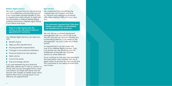#### **Welfare Rights Service**

We want to ensure that you are receiving your full entitlement and provide support if you have been refused benefits or wish to appeal your claim refusal. To assist with this we employ a fulltime Welfare Rights Assistant and have a Welfare rights officer in our office most days.

We understand that sometimes the unexpected can happen and that our tenants may experience financial difficulties making it difficult to pay your rent.

#### **Rent Arrears**

Our Welfare Rights Service can assist you with:

### **There is a high demand for this service so you will need to book an appointment in advance.** We can discuss a suitable repayment

- Benefit checks
- Help you fill in benefit forms
- Housing benefit overpayments
- nange in circumstance interviews
- Financial advice for new tenants
- Debt advice
- Council tax issues
- Fuel and energy advice

If you are experiencing any financial difficulties, please don't wait to contact us. Home visits can be arranged if this is more convenient, but these are strictly only for tenants with mobility or health issues which restricts them from coming down to our office for an appointment.

arrangement with you which will cover the rent due plus an amount towards any outstanding balance. If you keep to the arrangement, we won't take any further action.

An appointment can be made with one of our Welfare Rights Advisors. They can ensure you are receiving your full entitlement of benefits and provide advice on other debts etc.

If you continue to miss your rent payments the Association may consider the use of legal action to recover any rent owed and this could lead to you being evicted from your home.

**It is extremely important that if this does happen you contact us immediately, our experienced can assist you.**